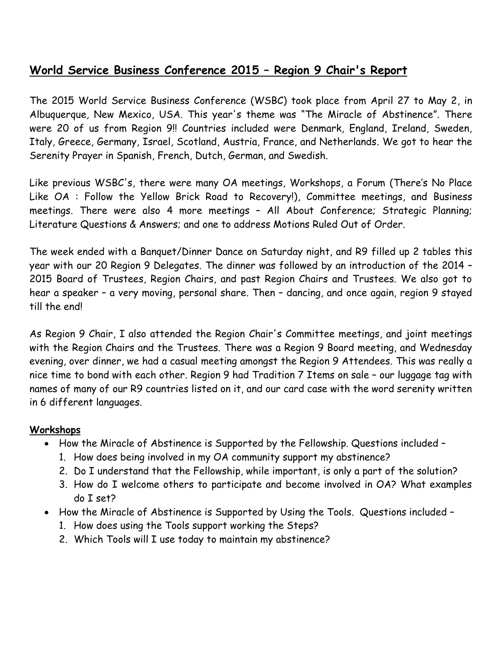# **World Service Business Conference 2015 – Region 9 Chair's Report**

The 2015 World Service Business Conference (WSBC) took place from April 27 to May 2, in Albuquerque, New Mexico, USA. This year's theme was "The Miracle of Abstinence". There were 20 of us from Region 9!! Countries included were Denmark, England, Ireland, Sweden, Italy, Greece, Germany, Israel, Scotland, Austria, France, and Netherlands. We got to hear the Serenity Prayer in Spanish, French, Dutch, German, and Swedish.

Like previous WSBC's, there were many OA meetings, Workshops, a Forum (There's No Place Like OA : Follow the Yellow Brick Road to Recovery!), Committee meetings, and Business meetings. There were also 4 more meetings – All About Conference; Strategic Planning; Literature Questions & Answers; and one to address Motions Ruled Out of Order.

The week ended with a Banquet/Dinner Dance on Saturday night, and R9 filled up 2 tables this year with our 20 Region 9 Delegates. The dinner was followed by an introduction of the 2014 – 2015 Board of Trustees, Region Chairs, and past Region Chairs and Trustees. We also got to hear a speaker – a very moving, personal share. Then – dancing, and once again, region 9 stayed till the end!

As Region 9 Chair, I also attended the Region Chair's Committee meetings, and joint meetings with the Region Chairs and the Trustees. There was a Region 9 Board meeting, and Wednesday evening, over dinner, we had a casual meeting amongst the Region 9 Attendees. This was really a nice time to bond with each other. Region 9 had Tradition 7 Items on sale – our luggage tag with names of many of our R9 countries listed on it, and our card case with the word serenity written in 6 different languages.

#### **Workshops**

- How the Miracle of Abstinence is Supported by the Fellowship. Questions included -
	- 1. How does being involved in my OA community support my abstinence?
	- 2. Do I understand that the Fellowship, while important, is only a part of the solution?
	- 3. How do I welcome others to participate and become involved in OA? What examples do I set?
- How the Miracle of Abstinence is Supported by Using the Tools. Questions included -
	- 1. How does using the Tools support working the Steps?
	- 2. Which Tools will I use today to maintain my abstinence?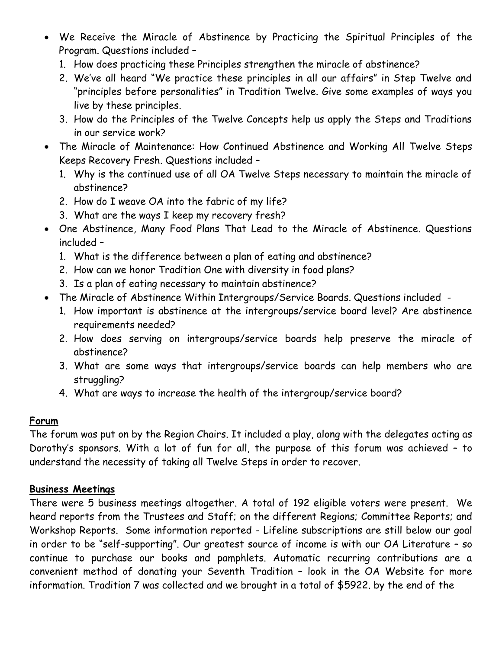- We Receive the Miracle of Abstinence by Practicing the Spiritual Principles of the Program. Questions included –
	- 1. How does practicing these Principles strengthen the miracle of abstinence?
	- 2. We've all heard "We practice these principles in all our affairs" in Step Twelve and "principles before personalities" in Tradition Twelve. Give some examples of ways you live by these principles.
	- 3. How do the Principles of the Twelve Concepts help us apply the Steps and Traditions in our service work?
- The Miracle of Maintenance: How Continued Abstinence and Working All Twelve Steps Keeps Recovery Fresh. Questions included –
	- 1. Why is the continued use of all OA Twelve Steps necessary to maintain the miracle of abstinence?
	- 2. How do I weave OA into the fabric of my life?
	- 3. What are the ways I keep my recovery fresh?
- One Abstinence, Many Food Plans That Lead to the Miracle of Abstinence. Questions included –
	- 1. What is the difference between a plan of eating and abstinence?
	- 2. How can we honor Tradition One with diversity in food plans?
	- 3. Is a plan of eating necessary to maintain abstinence?
- The Miracle of Abstinence Within Intergroups/Service Boards. Questions included
	- 1. How important is abstinence at the intergroups/service board level? Are abstinence requirements needed?
	- 2. How does serving on intergroups/service boards help preserve the miracle of abstinence?
	- 3. What are some ways that intergroups/service boards can help members who are struggling?
	- 4. What are ways to increase the health of the intergroup/service board?

# **Forum**

The forum was put on by the Region Chairs. It included a play, along with the delegates acting as Dorothy's sponsors. With a lot of fun for all, the purpose of this forum was achieved – to understand the necessity of taking all Twelve Steps in order to recover.

### **Business Meetings**

There were 5 business meetings altogether. A total of 192 eligible voters were present. We heard reports from the Trustees and Staff; on the different Regions; Committee Reports; and Workshop Reports. Some information reported - Lifeline subscriptions are still below our goal in order to be "self-supporting". Our greatest source of income is with our OA Literature – so continue to purchase our books and pamphlets. Automatic recurring contributions are a convenient method of donating your Seventh Tradition – look in the OA Website for more information. Tradition 7 was collected and we brought in a total of \$5922. by the end of the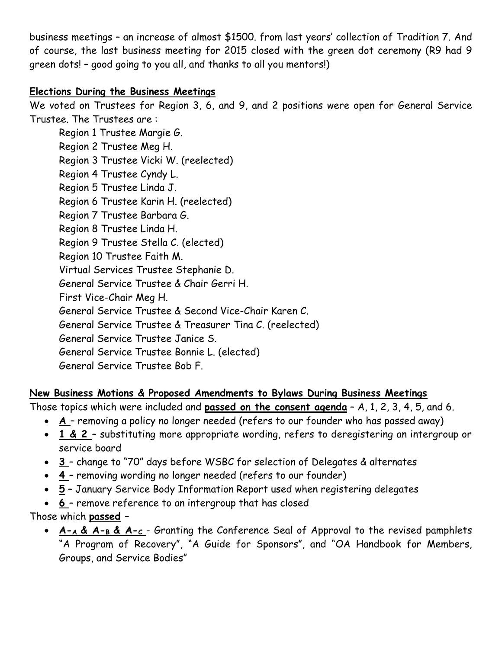business meetings – an increase of almost \$1500. from last years' collection of Tradition 7. And of course, the last business meeting for 2015 closed with the green dot ceremony (R9 had 9 green dots! – good going to you all, and thanks to all you mentors!)

### **Elections During the Business Meetings**

We voted on Trustees for Region 3, 6, and 9, and 2 positions were open for General Service Trustee. The Trustees are :

Region 1 Trustee Margie G. Region 2 Trustee Meg H. Region 3 Trustee Vicki W. (reelected) Region 4 Trustee Cyndy L. Region 5 Trustee Linda J. Region 6 Trustee Karin H. (reelected) Region 7 Trustee Barbara G. Region 8 Trustee Linda H. Region 9 Trustee Stella C. (elected) Region 10 Trustee Faith M. Virtual Services Trustee Stephanie D. General Service Trustee & Chair Gerri H. First Vice-Chair Meg H. General Service Trustee & Second Vice-Chair Karen C. General Service Trustee & Treasurer Tina C. (reelected) General Service Trustee Janice S. General Service Trustee Bonnie L. (elected) General Service Trustee Bob F.

**New Business Motions & Proposed Amendments to Bylaws During Business Meetings**

Those topics which were included and **passed on the consent agenda** – A, 1, 2, 3, 4, 5, and 6.

- **A**  removing a policy no longer needed (refers to our founder who has passed away)
- **1 & 2**  substituting more appropriate wording, refers to deregistering an intergroup or service board
- **3** change to "70" days before WSBC for selection of Delegates & alternates
- **4** removing wording no longer needed (refers to our founder)
- **5** January Service Body Information Report used when registering delegates
- **6** remove reference to an intergroup that has closed
- Those which **passed**
	- **A-A & A-B & A-C**  Granting the Conference Seal of Approval to the revised pamphlets "A Program of Recovery", "A Guide for Sponsors", and "OA Handbook for Members, Groups, and Service Bodies"